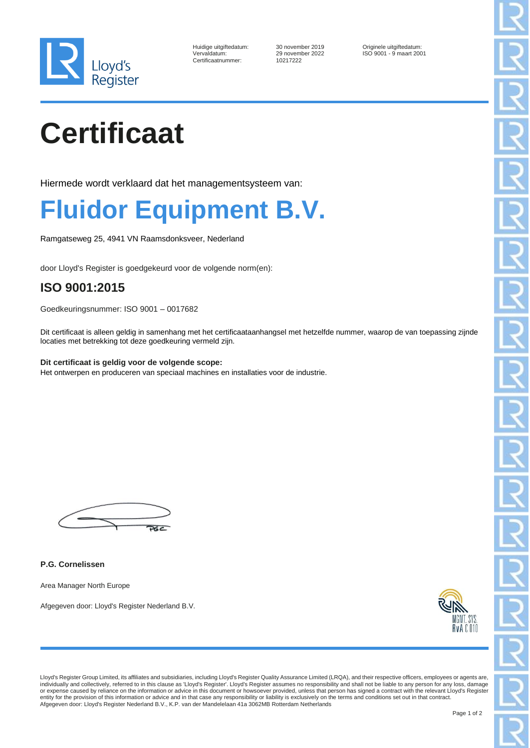

| Huidige uitgiftedatum: |  |
|------------------------|--|
| Vervaldatum:           |  |
| Certificaatnummer:     |  |

Certificaatnummer: 10217222

10 november 2019<br>
19 november 2022<br>
19 november 2022<br>
19 november 2022<br>
20 november 2022 ISO 9001 - 9 maart 2001

# **Certificaat**

Hiermede wordt verklaard dat het managementsysteem van:

### **Fluidor Equipment B.V.**

Ramgatseweg 25, 4941 VN Raamsdonksveer, Nederland

door Lloyd's Register is goedgekeurd voor de volgende norm(en):

### **ISO 9001:2015**

Goedkeuringsnummer: ISO 9001 – 0017682

Dit certificaat is alleen geldig in samenhang met het certificaataanhangsel met hetzelfde nummer, waarop de van toepassing zijnde locaties met betrekking tot deze goedkeuring vermeld zijn.

**Dit certificaat is geldig voor de volgende scope:** Het ontwerpen en produceren van speciaal machines en installaties voor de industrie.

 $\overline{\mathbf{y}}$ 

**P.G. Cornelissen**

Area Manager North Europe

Afgegeven door: Lloyd's Register Nederland B.V.



Lloyd's Register Group Limited, its affiliates and subsidiaries, including Lloyd's Register Quality Assurance Limited (LRQA), and their respective officers, employees or agents are,<br>individually and collectively, referred entity for the provision of this information or advice and in that case any responsibility or liability is exclusively on the terms and conditions set out in that contract.<br>Afgegeven door: Lloyd's Register Nederland B.V.,